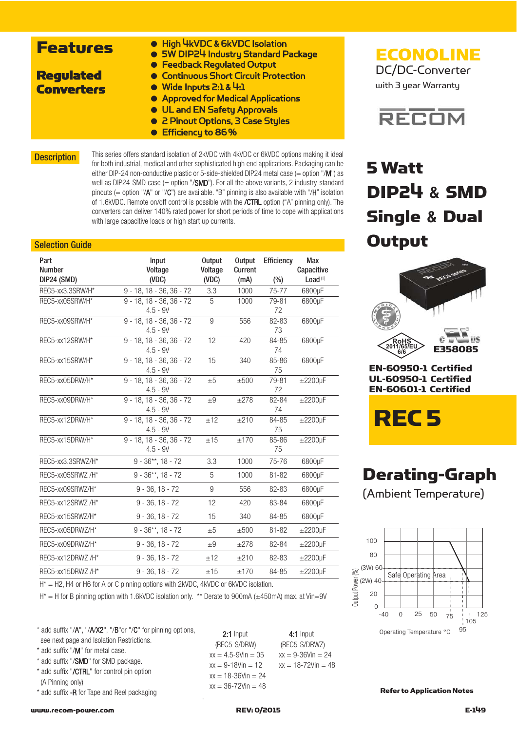## Features

### Regulated **Converters**

- High 4kVDC & 6kVDC Isolation
- 5W DIP24 Industry Standard Package
- Feedback Regulated Output
- Continuous Short Circuit Protection
- $\bullet\,$  Wide Inputs 2:1 &  $4:1$
- Approved for Medical Applications
- UL and EN Safety Approvals
- 2 Pinout Options, 3 Case Styles
- Efficiency to 86%

**Description** 

This series offers standard isolation of 2kVDC with 4kVDC or 6kVDC options making it ideal for both industrial, medical and other sophisticated high end applications. Packaging can be either DIP-24 non-conductive plastic or 5-side-shielded DIP24 metal case (= option "/M") as well as DIP24-SMD case  $(=$  option "/SMD"). For all the above variants, 2 industry-standard pinouts (= option "/ $A$ " or "/ $C$ ") are available. "B" pinning is also available with "/ $H$ " isolation of 1.6kVDC. Remote on/off control is possible with the /CTRL option ("A" pinning only). The converters can deliver 140% rated power for short periods of time to cope with applications with large capacitive loads or high start up currents.

#### Selection Guide

| Part<br><b>Number</b><br>DIP24 (SMD) | Input<br>Voltage<br>(VDC)                      | <b>Output</b><br>Voltage<br>(VDC) | Output<br>Current<br>(mA) | Efficiency<br>(%) | <b>Max</b><br>Capacitive<br>$Load$ <sup>(1)</sup> |  |
|--------------------------------------|------------------------------------------------|-----------------------------------|---------------------------|-------------------|---------------------------------------------------|--|
| REC5-xx3.3SRW/H*                     | $9 - 18, 18 - 36, 36 - 72$                     | 3.3                               | 1000                      | 75-77             | 6800µF                                            |  |
| REC5-xx05SRW/H*                      | $9 - 18$ , $18 - 36$ , $36 - 72$<br>$4.5 - 9V$ | 5                                 | 1000                      | 79-81<br>72       | 6800µF                                            |  |
| REC5-xx09SRW/H*                      | $9 - 18$ , $18 - 36$ , $36 - 72$<br>$4.5 - 9V$ | 9                                 | 556                       | 82-83<br>73       | 6800µF                                            |  |
| REC5-xx12SRW/H*                      | $9 - 18$ , $18 - 36$ , $36 - 72$<br>$4.5 - 9V$ | 12                                | 420                       | 84-85<br>74       | 6800µF                                            |  |
| REC5-xx15SRW/H*                      | $9 - 18, 18 - 36, 36 - 72$<br>$4.5 - 9V$       | 15                                | 340                       | 85-86<br>75       | 6800µF                                            |  |
| REC5-xx05DRW/H*                      | $9 - 18$ , $18 - 36$ , $36 - 72$<br>$4.5 - 9V$ | $\pm 5$                           | ±500                      | 79-81<br>72       | $\pm 2200$ µF                                     |  |
| REC5-xx09DRW/H*                      | $9 - 18$ , $18 - 36$ , $36 - 72$<br>$4.5 - 9V$ | $\pm 9$                           | ±278                      | 82-84<br>74       | $\pm 2200 \mu F$                                  |  |
| REC5-xx12DRW/H*                      | $9 - 18$ , $18 - 36$ , $36 - 72$<br>$4.5 - 9V$ | ±12                               | ±210                      | 84-85<br>75       | $\pm 2200$ µF                                     |  |
| REC5-xx15DRW/H*                      | $9 - 18$ , $18 - 36$ , $36 - 72$<br>$4.5 - 9V$ | ±15                               | ±170                      | 85-86<br>75       | $\pm 2200 \mu F$                                  |  |
| REC5-xx3.3SRWZ/H*                    | $9 - 36**$ , 18 - 72                           | 3.3                               | 1000                      | 75-76             | 6800µF                                            |  |
| REC5-xx05SRWZ/H*                     | $9 - 36**$ , 18 - 72                           | 5                                 | 1000                      | $81 - 82$         | 6800µF                                            |  |
| REC5-xx09SRWZ/H*                     | $9 - 36.18 - 72$                               | 9                                 | 556                       | 82-83             | 6800µF                                            |  |
| REC5-xx12SRWZ/H*                     | $9 - 36, 18 - 72$                              | 12                                | 420                       | 83-84             | 6800µF                                            |  |
| REC5-xx15SRWZ/H*                     | $9 - 36, 18 - 72$                              | 15                                | 340                       | 84-85             | 6800µF                                            |  |
| REC5-xx05DRWZ/H*                     | $9 - 36**$ , 18 - 72                           | $\pm 5$                           | ±500                      | $81 - 82$         | $\pm 2200$ uF                                     |  |
| REC5-xx09DRWZ/H*                     | $9 - 36, 18 - 72$                              | $+9$                              | ±278                      | 82-84             | $\pm 2200$ uF                                     |  |
| REC5-xx12DRWZ/H*                     | $9 - 36, 18 - 72$                              | ±12                               | ±210                      | 82-83             | $\pm 2200$ uF                                     |  |
| REC5-xx15DRWZ/H*                     | $9 - 36, 18 - 72$                              | ±15                               | ±170                      | 84-85             | $\pm 2200$ µF                                     |  |

H<sup>\*</sup> = H2, H4 or H6 for A or C pinning options with 2kVDC, 4kVDC or 6kVDC isolation.

H<sup>\*</sup> = H for B pinning option with 1.6kVDC isolation only. \*\* Derate to 900mA (±450mA) max. at Vin=9V

\* add suffix "/A", "/A/X2", "/B"or "/C" for pinning options, see next page and Isolation Restrictions. \* add suffix "/M" for metal case. \* add suffix "/SMD" for SMD package. \* add suffix "/CTRL" for control pin option (A Pinning only)

\* add suffix -R for Tape and Reel packaging

2:1 Input 4:1 Input (REC5-S/DRW) (REC5-S/DRWZ)  $xx = 4.5 - 9V$ in = 05  $xx = 9 - 36V$ in = 24  $xx = 9-18V$ in = 12  $xx = 18-72V$ in = 48  $xx = 18 - 36$ Vin = 24  $xx = 36 - 72$ Vin = 48

ECONOLINE DC/DC-Converter

with 3 year Warranty



# 5 Watt DIP24 **&** SMD Single **&** Dual **Output**



EN-60601-1 Certified

REC 5

# Derating-Graph

(Ambient Temperature)



. Refer to Application Notes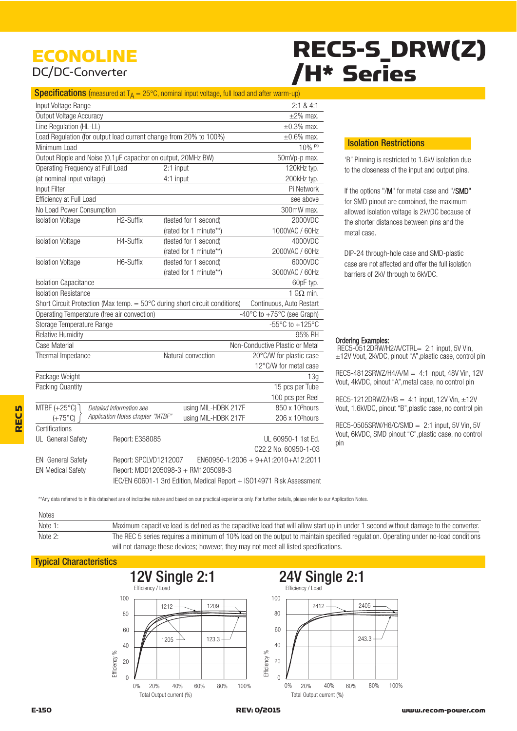## ECONOLINE DC/DC-Converter

# REC5-S\_DRW(Z) /H\* Series

#### **Specifications** (measured at  $T_A = 25^{\circ}$ C, nominal input voltage, full load and after warm-up)

| Input Voltage Range                                                                                     |                                                               |                    |                                    | 2:1 & 8 & 4:1                                         |  |  |  |  |  |
|---------------------------------------------------------------------------------------------------------|---------------------------------------------------------------|--------------------|------------------------------------|-------------------------------------------------------|--|--|--|--|--|
| Output Voltage Accuracy                                                                                 |                                                               |                    |                                    | $\pm 2\%$ max.                                        |  |  |  |  |  |
| Line Regulation (HL-LL)                                                                                 | $\pm 0.3\%$ max.                                              |                    |                                    |                                                       |  |  |  |  |  |
| Load Regulation (for output load current change from 20% to 100%)                                       | $\pm 0.6\%$ max.                                              |                    |                                    |                                                       |  |  |  |  |  |
| Minimum Load                                                                                            | $10\%$ (2)                                                    |                    |                                    |                                                       |  |  |  |  |  |
|                                                                                                         | Output Ripple and Noise (0,1µF capacitor on output, 20MHz BW) |                    |                                    | 50mVp-p max.                                          |  |  |  |  |  |
| Operating Frequency at Full Load                                                                        |                                                               | 2:1 input          |                                    | 120kHz typ.                                           |  |  |  |  |  |
| (at nominal input voltage)                                                                              | 200kHz typ.                                                   |                    |                                    |                                                       |  |  |  |  |  |
| Input Filter                                                                                            |                                                               |                    |                                    | Pi Network                                            |  |  |  |  |  |
| Efficiency at Full Load                                                                                 |                                                               |                    |                                    | see above                                             |  |  |  |  |  |
| No Load Power Consumption                                                                               |                                                               |                    |                                    | 300mW max.                                            |  |  |  |  |  |
| <b>Isolation Voltage</b>                                                                                | H <sub>2</sub> -Suffix                                        |                    | (tested for 1 second)              | 2000VDC                                               |  |  |  |  |  |
|                                                                                                         |                                                               |                    | (rated for 1 minute**)             | 1000VAC / 60Hz                                        |  |  |  |  |  |
| <b>Isolation Voltage</b>                                                                                | H4-Suffix                                                     |                    | (tested for 1 second)              | 4000VDC                                               |  |  |  |  |  |
|                                                                                                         |                                                               |                    | (rated for 1 minute**)             | 2000VAC / 60Hz                                        |  |  |  |  |  |
| <b>Isolation Voltage</b>                                                                                | H6-Suffix                                                     |                    | (tested for 1 second)              | 6000VDC                                               |  |  |  |  |  |
|                                                                                                         |                                                               |                    | (rated for 1 minute**)             | 3000VAC / 60Hz                                        |  |  |  |  |  |
| <b>Isolation Capacitance</b>                                                                            |                                                               |                    |                                    | 60pF typ.                                             |  |  |  |  |  |
| <b>Isolation Resistance</b><br>1 $G\Omega$ min.                                                         |                                                               |                    |                                    |                                                       |  |  |  |  |  |
| Short Circuit Protection (Max temp. = 50°C during short circuit conditions)<br>Continuous, Auto Restart |                                                               |                    |                                    |                                                       |  |  |  |  |  |
| $-40^{\circ}$ C to $+75^{\circ}$ C (see Graph)<br>Operating Temperature (free air convection)           |                                                               |                    |                                    |                                                       |  |  |  |  |  |
| Storage Temperature Range                                                                               |                                                               |                    |                                    | -55 $\mathrm{^{\circ}C}$ to +125 $\mathrm{^{\circ}C}$ |  |  |  |  |  |
| <b>Relative Humidity</b>                                                                                |                                                               |                    |                                    | 95% RH                                                |  |  |  |  |  |
| Case Material<br>Non-Conductive Plastic or Metal                                                        |                                                               |                    |                                    |                                                       |  |  |  |  |  |
| Thermal Impedance                                                                                       |                                                               | Natural convection | 20°C/W for plastic case            |                                                       |  |  |  |  |  |
|                                                                                                         |                                                               |                    |                                    | 12°C/W for metal case                                 |  |  |  |  |  |
| Package Weight                                                                                          |                                                               |                    |                                    | 13g                                                   |  |  |  |  |  |
| Packing Quantity                                                                                        |                                                               |                    |                                    | 15 pcs per Tube                                       |  |  |  |  |  |
|                                                                                                         |                                                               |                    |                                    | 100 pcs per Reel                                      |  |  |  |  |  |
| MTBF $(+25^{\circ}C)$                                                                                   | Detailed Information see                                      |                    | using MIL-HDBK 217F                | 850 x 10 <sup>3</sup> hours                           |  |  |  |  |  |
| $(+75^{\circ}C)$                                                                                        | Application Notes chapter "MTBF"                              |                    | using MIL-HDBK 217F                | 206 x 10 <sup>3</sup> hours                           |  |  |  |  |  |
| Certifications                                                                                          |                                                               |                    |                                    |                                                       |  |  |  |  |  |
| UL General Safety                                                                                       | Report: E358085                                               |                    |                                    | UL 60950-1 1st Ed.                                    |  |  |  |  |  |
|                                                                                                         |                                                               |                    |                                    | C22.2 No. 60950-1-03                                  |  |  |  |  |  |
| <b>EN</b> General Safety                                                                                | Report: SPCLVD1212007                                         |                    |                                    | $EN60950 - 1:2006 + 9 + A1:2010 + A12:2011$           |  |  |  |  |  |
| <b>EN Medical Safety</b>                                                                                |                                                               |                    | Report: MDD1205098-3 + RM1205098-3 |                                                       |  |  |  |  |  |
| IEC/EN 60601-1 3rd Edition, Medical Report + ISO14971 Risk Assessment                                   |                                                               |                    |                                    |                                                       |  |  |  |  |  |

#### Isolation Restrictions

'B" Pinning is restricted to 1.6kV isolation due to the closeness of the input and output pins.

If the options "/M" for metal case and "/SMD" for SMD pinout are combined, the maximum allowed isolation voltage is 2kVDC because of the shorter distances between pins and the metal case.

DIP-24 through-hole case and SMD-plastic case are not affected and offer the full isolation barriers of 2kV through to 6kVDC.

#### Ordering Examples:

REC5-0512DRW/H2/A/CTRL= 2:1 input, 5V Vin, ±12V Vout, 2kVDC, pinout "A",plastic case, control pin

REC5-4812SRWZ/H4/A/M = 4:1 input, 48V Vin, 12V Vout, 4kVDC, pinout "A",metal case, no control pin

REC5-1212DRWZ/H/B = 4:1 input, 12V Vin,  $\pm$ 12V Vout, 1.6kVDC, pinout "B",plastic case, no control pin

REC5-0505SRW/H6/C/SMD = 2:1 input, 5V Vin, 5V Vout, 6kVDC, SMD pinout "C",plastic case, no control pin

\*\*Any data referred to in this datasheet are of indicative nature and based on our practical experience only. For further details, please refer to our Application Notes.

| Notes   |                                                                                                                                       |
|---------|---------------------------------------------------------------------------------------------------------------------------------------|
| Note 1: | Maximum capacitive load is defined as the capacitive load that will allow start up in under 1 second without damage to the converter. |
| Note 2: | The REC 5 series requires a minimum of 10% load on the output to maintain specified requlation. Operating under no-load conditions    |
|         | will not damage these devices; however, they may not meet all listed specifications.                                                  |

#### Typical Characteristics

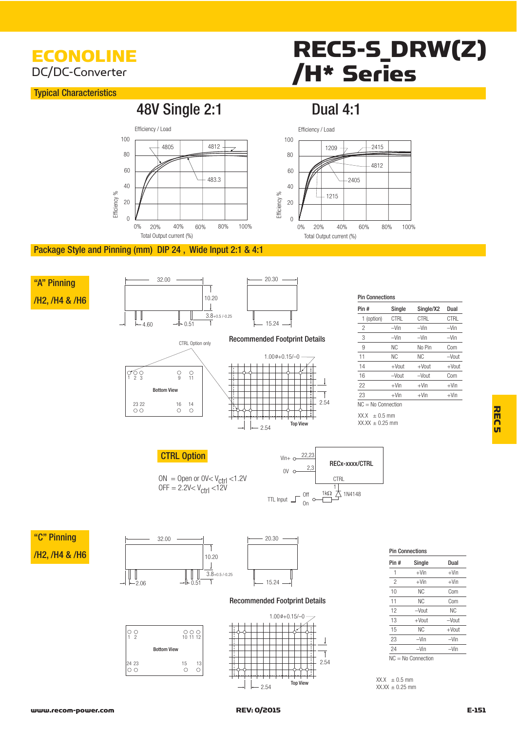## ECONOLINE DC/DC-Converter

### Typical Characteristics

# REC5-S\_DRW(Z) /H\* Series

48V Single 2:1 Dual 4:1



### Package Style and Pinning (mm) DIP 24 , Wide Input 2:1 & 4:1

"A" Pinning /H2, /H4 & /H6





Recommended Footprint Details



| <b>Pin Connections</b> |          |           |          |  |  |  |  |  |  |
|------------------------|----------|-----------|----------|--|--|--|--|--|--|
| Pin#                   | Single   | Single/X2 | Dual     |  |  |  |  |  |  |
| 1 (option)             | CTRI     | CTRI      | CTRI     |  |  |  |  |  |  |
| $\overline{2}$         | $-Vin$   | $-Vin$    | $-Vin$   |  |  |  |  |  |  |
| 3                      | $-Vin$   | $-Vin$    | $-Vin$   |  |  |  |  |  |  |
| 9                      | NC.      | No Pin    | Com      |  |  |  |  |  |  |
| 11                     | NC.      | NC.       | $-V$ out |  |  |  |  |  |  |
| 14                     | $+$ Vout | $+$ Vout  | $+$ Vout |  |  |  |  |  |  |
| 16                     | $-V$ out | $-V$ out  | Com      |  |  |  |  |  |  |
| 22                     | $+V$ in  | $+V$ in   | $+V$ in  |  |  |  |  |  |  |
| 23                     | $+V$ in  | $+V$ in   | $+V$ in  |  |  |  |  |  |  |
| $NC = No$ Connection   |          |           |          |  |  |  |  |  |  |

 $XX.X \pm 0.5$  mm  $XXXX + 0.25$  mm

**CTRL Option CTRL** 





 $2.54$ 

**Top View** 

"C" Pinning /H2, /H4 & /H6







**Top View** 

| Pin #         | Single   | Dual     |
|---------------|----------|----------|
| 1             | $+$ Vin  | $+V$ in  |
| $\mathcal{P}$ | $+V$ in  | $+V$ in  |
| 10            | ΝC       | Com      |
| 11            | ΝC       | Com      |
| 12            | $-V$ out | ΝC       |
| 13            | $+$ Vout | $-V$ out |
| 15            | ΝC       | $+$ Vout |
| 23            | $-Vin$   | $-Vin$   |
| 24            | $-Vin$   | $-Vin$   |

 $XX.X \pm 0.5$  mm  $XX.XX \pm 0.25$  mm

 $-2.54$